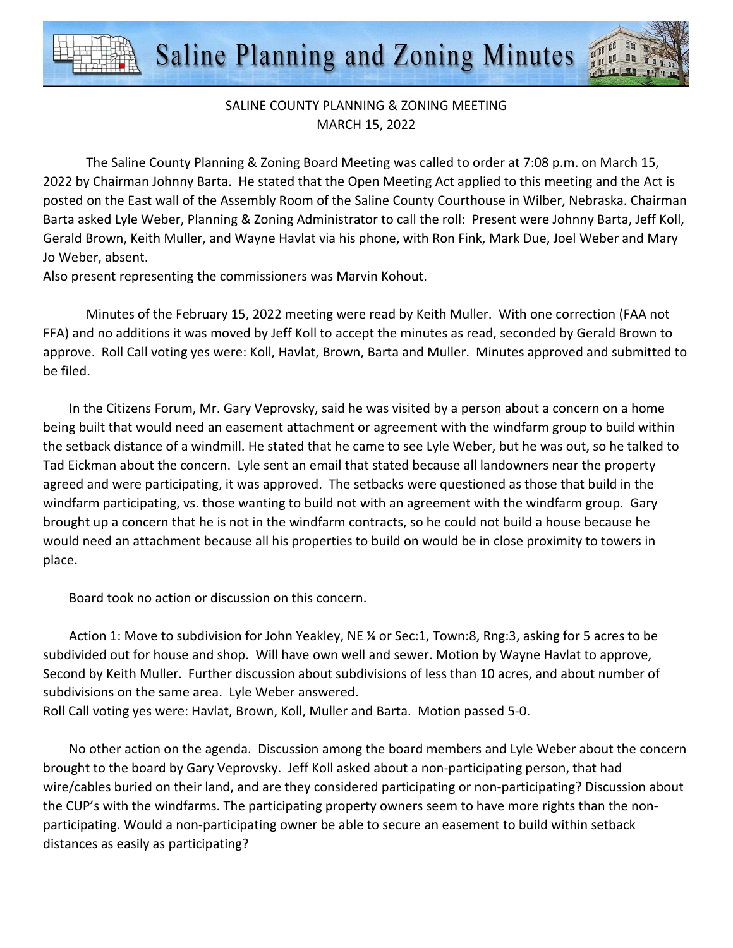Saline Planning and Zoning Minutes



## SALINE COUNTY PLANNING & ZONING MEETING MARCH 15, 2022

The Saline County Planning & Zoning Board Meeting was called to order at 7:08 p.m. on March 15, 2022 by Chairman Johnny Barta. He stated that the Open Meeting Act applied to this meeting and the Act is posted on the East wall of the Assembly Room of the Saline County Courthouse in Wilber, Nebraska. Chairman Barta asked Lyle Weber, Planning & Zoning Administrator to call the roll: Present were Johnny Barta, Jeff Koll, Gerald Brown, Keith Muller, and Wayne Havlat via his phone, with Ron Fink, Mark Due, Joel Weber and Mary Jo Weber, absent.

Also present representing the commissioners was Marvin Kohout.

Minutes of the February 15, 2022 meeting were read by Keith Muller. With one correction (FAA not FFA) and no additions it was moved by Jeff Koll to accept the minutes as read, seconded by Gerald Brown to approve. Roll Call voting yes were: Koll, Havlat, Brown, Barta and Muller. Minutes approved and submitted to be filed.

In the Citizens Forum, Mr. Gary Veprovsky, said he was visited by a person about a concern on a home being built that would need an easement attachment or agreement with the windfarm group to build within the setback distance of a windmill. He stated that he came to see Lyle Weber, but he was out, so he talked to Tad Eickman about the concern. Lyle sent an email that stated because all landowners near the property agreed and were participating, it was approved. The setbacks were questioned as those that build in the windfarm participating, vs. those wanting to build not with an agreement with the windfarm group. Gary brought up a concern that he is not in the windfarm contracts, so he could not build a house because he would need an attachment because all his properties to build on would be in close proximity to towers in place.

Board took no action or discussion on this concern.

Action 1: Move to subdivision for John Yeakley, NE ¼ or Sec:1, Town:8, Rng:3, asking for 5 acres to be subdivided out for house and shop. Will have own well and sewer. Motion by Wayne Havlat to approve, Second by Keith Muller. Further discussion about subdivisions of less than 10 acres, and about number of subdivisions on the same area. Lyle Weber answered. Roll Call voting yes were: Havlat, Brown, Koll, Muller and Barta. Motion passed 5-0.

No other action on the agenda. Discussion among the board members and Lyle Weber about the concern brought to the board by Gary Veprovsky. Jeff Koll asked about a non-participating person, that had wire/cables buried on their land, and are they considered participating or non-participating? Discussion about the CUP's with the windfarms. The participating property owners seem to have more rights than the nonparticipating. Would a non-participating owner be able to secure an easement to build within setback distances as easily as participating?